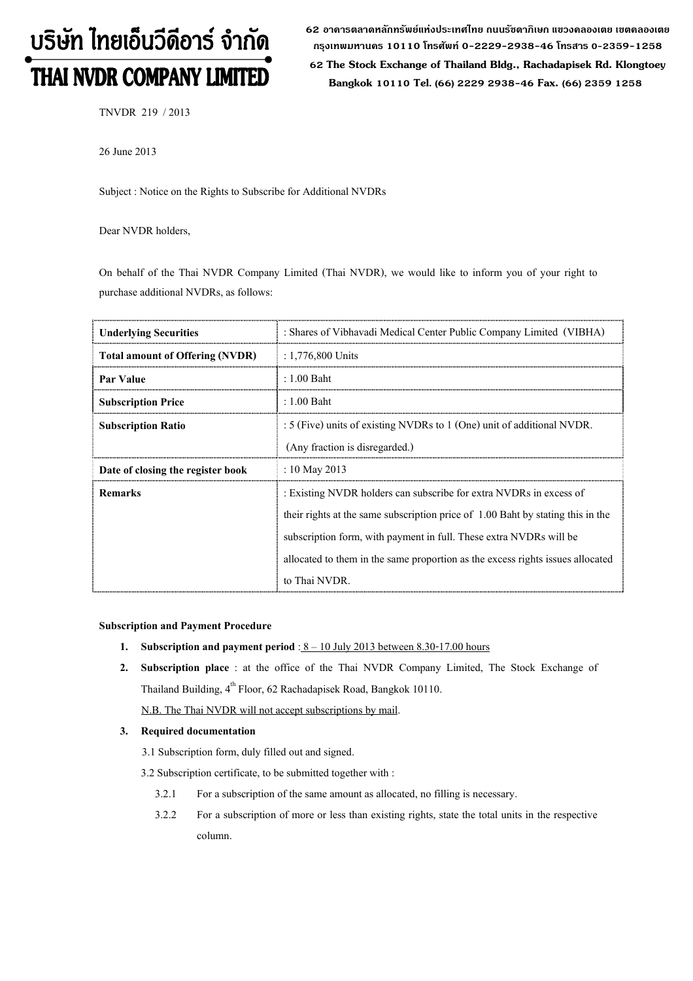# บริษัท ไทยเอ็นวีดีอาร์ จำกัด THAI NVDR COMPANY LIMITED

62 อาดารตลาดหลักทรัพย์แห่งประเทศไทย ถนนรัชดาภิเษก แขวงดลองเตย เขตดลองเตย กรุงเทพมหานดร 10110 โทรศัพท์ 0-2229-2938-46 โทรสาร 0-2359-1258

 62 The Stock Exchange of Thailand Bldg., Rachadapisek Rd. Klongtoey Bangkok 10110 Tel. (66) 2229 2938-46 Fax. (66) 2359 1258

TNVDR 219 / 2013

26 June 2013

Subject : Notice on the Rights to Subscribe for Additional NVDRs

Dear NVDR holders,

On behalf of the Thai NVDR Company Limited (Thai NVDR), we would like to inform you of your right to purchase additional NVDRs, as follows:

| <b>Underlying Securities</b>           | : Shares of Vibhavadi Medical Center Public Company Limited (VIBHA)             |  |
|----------------------------------------|---------------------------------------------------------------------------------|--|
| <b>Total amount of Offering (NVDR)</b> | $: 1,776,800$ Units                                                             |  |
| Par Value                              | $: 1.00$ Baht                                                                   |  |
| <b>Subscription Price</b>              | $: 1.00$ Baht                                                                   |  |
| <b>Subscription Ratio</b>              | : 5 (Five) units of existing NVDRs to 1 (One) unit of additional NVDR.          |  |
|                                        | (Any fraction is disregarded.)                                                  |  |
| Date of closing the register book      | : 10 May 2013                                                                   |  |
| <b>Remarks</b>                         | : Existing NVDR holders can subscribe for extra NVDRs in excess of              |  |
|                                        | their rights at the same subscription price of 1.00 Baht by stating this in the |  |
|                                        | subscription form, with payment in full. These extra NVDRs will be              |  |
|                                        | allocated to them in the same proportion as the excess rights issues allocated  |  |
|                                        | to Thai NVDR.                                                                   |  |

#### Subscription and Payment Procedure

- 1. Subscription and payment period :  $8 10$  July 2013 between 8.30-17.00 hours
- 2. Subscription place : at the office of the Thai NVDR Company Limited, The Stock Exchange of Thailand Building, 4<sup>th</sup> Floor, 62 Rachadapisek Road, Bangkok 10110. N.B. The Thai NVDR will not accept subscriptions by mail.

# 3. Required documentation

- 3.1 Subscription form, duly filled out and signed.
- 3.2 Subscription certificate, to be submitted together with :
	- 3.2.1 For a subscription of the same amount as allocated, no filling is necessary.
	- 3.2.2 For a subscription of more or less than existing rights, state the total units in the respective column.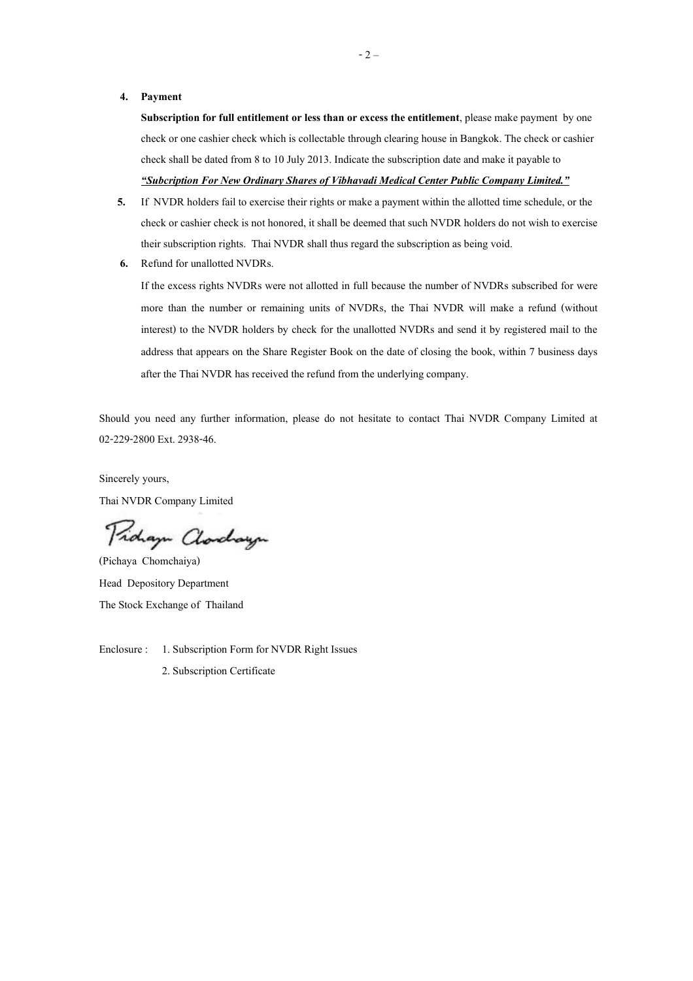#### 4. Payment

Subscription for full entitlement or less than or excess the entitlement, please make payment by one check or one cashier check which is collectable through clearing house in Bangkok. The check or cashier check shall be dated from 8 to 10 July 2013. Indicate the subscription date and make it payable to

# "Subcription For New Ordinary Shares of Vibhavadi Medical Center Public Company Limited."

- 5. If NVDR holders fail to exercise their rights or make a payment within the allotted time schedule, or the check or cashier check is not honored, it shall be deemed that such NVDR holders do not wish to exercise their subscription rights. Thai NVDR shall thus regard the subscription as being void.
- 6. Refund for unallotted NVDRs.

If the excess rights NVDRs were not allotted in full because the number of NVDRs subscribed for were more than the number or remaining units of NVDRs, the Thai NVDR will make a refund (without interest) to the NVDR holders by check for the unallotted NVDRs and send it by registered mail to the address that appears on the Share Register Book on the date of closing the book, within 7 business days after the Thai NVDR has received the refund from the underlying company.

Should you need any further information, please do not hesitate to contact Thai NVDR Company Limited at 02-229-2800 Ext. 2938-46.

Sincerely yours,

Thai NVDR Company Limited

Proham Charchaugu

(Pichaya Chomchaiya) Head Depository Department The Stock Exchange of Thailand

Enclosure : 1. Subscription Form for NVDR Right Issues

2. Subscription Certificate